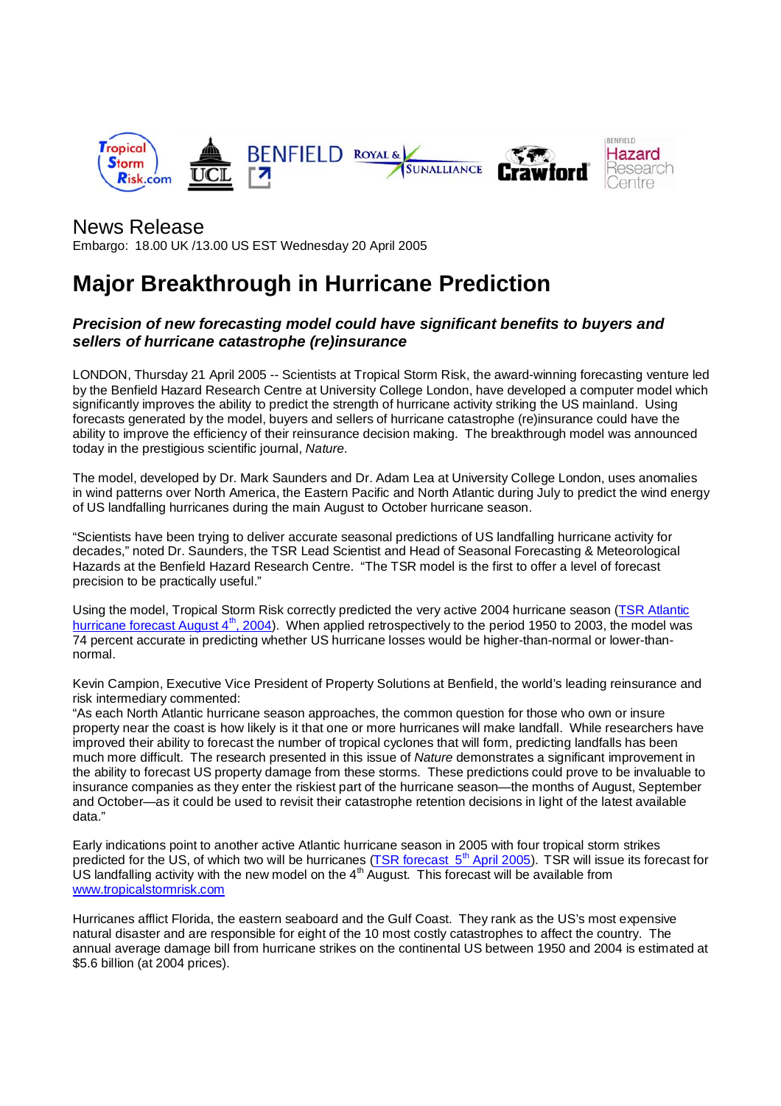

## News Release

Embargo: 18.00 UK /13.00 US EST Wednesday 20 April 2005

# **Major Breakthrough in Hurricane Prediction**

### **Precision of new forecasting model could have significant benefits to buyers and sellers of hurricane catastrophe (re)insurance**

LONDON, Thursday 21 April 2005 -- Scientists at Tropical Storm Risk, the award-winning forecasting venture led by the Benfield Hazard Research Centre at University College London, have developed a computer model which significantly improves the ability to predict the strength of hurricane activity striking the US mainland. Using forecasts generated by the model, buyers and sellers of hurricane catastrophe (re)insurance could have the ability to improve the efficiency of their reinsurance decision making. The breakthrough model was announced today in the prestigious scientific journal, Nature.

The model, developed by Dr. Mark Saunders and Dr. Adam Lea at University College London, uses anomalies in wind patterns over North America, the Eastern Pacific and North Atlantic during July to predict the wind energy of US landfalling hurricanes during the main August to October hurricane season.

"Scientists have been trying to deliver accurate seasonal predictions of US landfalling hurricane activity for decades," noted Dr. Saunders, the TSR Lead Scientist and Head of Seasonal Forecasting & Meteorological Hazards at the Benfield Hazard Research Centre. "The TSR model is the first to offer a level of forecast precision to be practically useful."

Using the model, Tropical Storm Risk correctly predicted the very active 2004 hurricane season (TSR Atlantic hurricane forecast August  $4<sup>th</sup>$ , 2004). When applied retrospectively to the period 1950 to 2003, the model was 74 percent accurate in predicting whether US hurricane losses would be higher-than-normal or lower-thannormal.

Kevin Campion, Executive Vice President of Property Solutions at Benfield, the world's leading reinsurance and risk intermediary commented:

"As each North Atlantic hurricane season approaches, the common question for those who own or insure property near the coast is how likely is it that one or more hurricanes will make landfall. While researchers have improved their ability to forecast the number of tropical cyclones that will form, predicting landfalls has been much more difficult. The research presented in this issue of Nature demonstrates a significant improvement in the ability to forecast US property damage from these storms. These predictions could prove to be invaluable to insurance companies as they enter the riskiest part of the hurricane season—the months of August, September and October—as it could be used to revisit their catastrophe retention decisions in light of the latest available data."

Early indications point to another active Atlantic hurricane season in 2005 with four tropical storm strikes predicted for the US, of which two will be hurricanes ( $TSR$  forecast  $5<sup>th</sup>$  April 2005). TSR will issue its forecast for US landfalling activity with the new model on the  $4<sup>th</sup>$  August. This forecast will be available from www.tropicalstormrisk.com

Hurricanes afflict Florida, the eastern seaboard and the Gulf Coast. They rank as the US's most expensive natural disaster and are responsible for eight of the 10 most costly catastrophes to affect the country. The annual average damage bill from hurricane strikes on the continental US between 1950 and 2004 is estimated at \$5.6 billion (at 2004 prices).